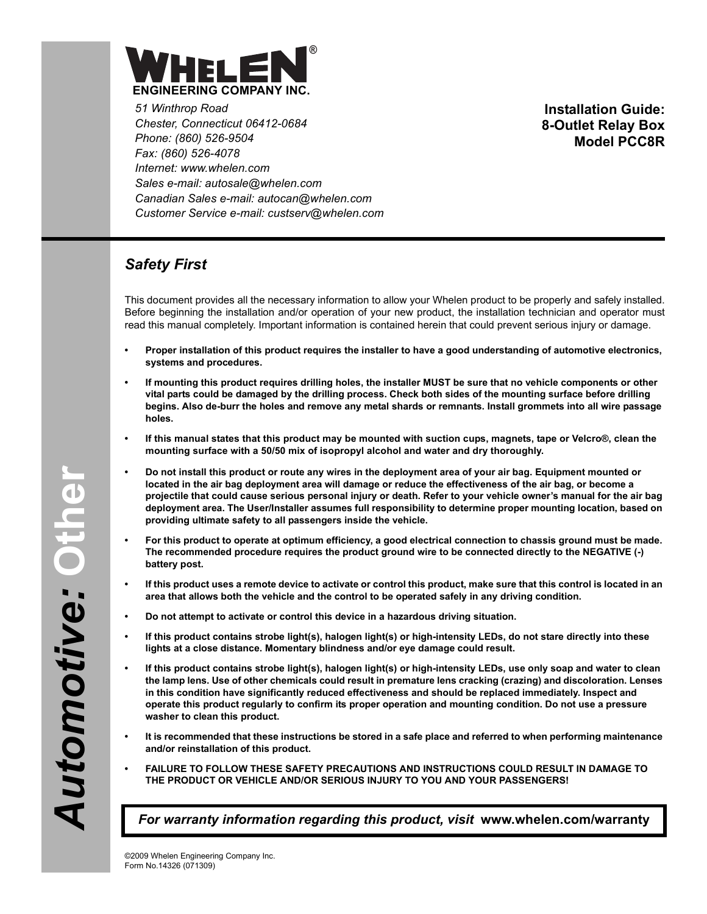

*51 Winthrop Road Chester, Connecticut 06412-0684 Phone: (860) 526-9504 Fax: (860) 526-4078 Internet: www.whelen.com Sales e-mail: autosale@whelen.com Canadian Sales e-mail: autocan@whelen.com Customer Service e-mail: custserv@whelen.com*

**Installation Guide: 8-Outlet Relay Box Model PCC8R**

## *Safety First*

This document provides all the necessary information to allow your Whelen product to be properly and safely installed. Before beginning the installation and/or operation of your new product, the installation technician and operator must read this manual completely. Important information is contained herein that could prevent serious injury or damage.

- **Proper installation of this product requires the installer to have a good understanding of automotive electronics, systems and procedures.**
- **If mounting this product requires drilling holes, the installer MUST be sure that no vehicle components or other vital parts could be damaged by the drilling process. Check both sides of the mounting surface before drilling begins. Also de-burr the holes and remove any metal shards or remnants. Install grommets into all wire passage holes.**
- **If this manual states that this product may be mounted with suction cups, magnets, tape or Velcro®, clean the mounting surface with a 50/50 mix of isopropyl alcohol and water and dry thoroughly.**
- **Do not install this product or route any wires in the deployment area of your air bag. Equipment mounted or located in the air bag deployment area will damage or reduce the effectiveness of the air bag, or become a projectile that could cause serious personal injury or death. Refer to your vehicle owner's manual for the air bag deployment area. The User/Installer assumes full responsibility to determine proper mounting location, based on providing ultimate safety to all passengers inside the vehicle.**
- **For this product to operate at optimum efficiency, a good electrical connection to chassis ground must be made. The recommended procedure requires the product ground wire to be connected directly to the NEGATIVE (-) battery post.**
- **If this product uses a remote device to activate or control this product, make sure that this control is located in an area that allows both the vehicle and the control to be operated safely in any driving condition.**
- **Do not attempt to activate or control this device in a hazardous driving situation.**
- **If this product contains strobe light(s), halogen light(s) or high-intensity LEDs, do not stare directly into these lights at a close distance. Momentary blindness and/or eye damage could result.**
- **If this product contains strobe light(s), halogen light(s) or high-intensity LEDs, use only soap and water to clean the lamp lens. Use of other chemicals could result in premature lens cracking (crazing) and discoloration. Lenses in this condition have significantly reduced effectiveness and should be replaced immediately. Inspect and operate this product regularly to confirm its proper operation and mounting condition. Do not use a pressure washer to clean this product.**
- **It is recommended that these instructions be stored in a safe place and referred to when performing maintenance and/or reinstallation of this product.**
- **FAILURE TO FOLLOW THESE SAFETY PRECAUTIONS AND INSTRUCTIONS COULD RESULT IN DAMAGE TO THE PRODUCT OR VEHICLE AND/OR SERIOUS INJURY TO YOU AND YOUR PASSENGERS!**

*For warranty information regarding this product, visit* **www.whelen.com/warranty**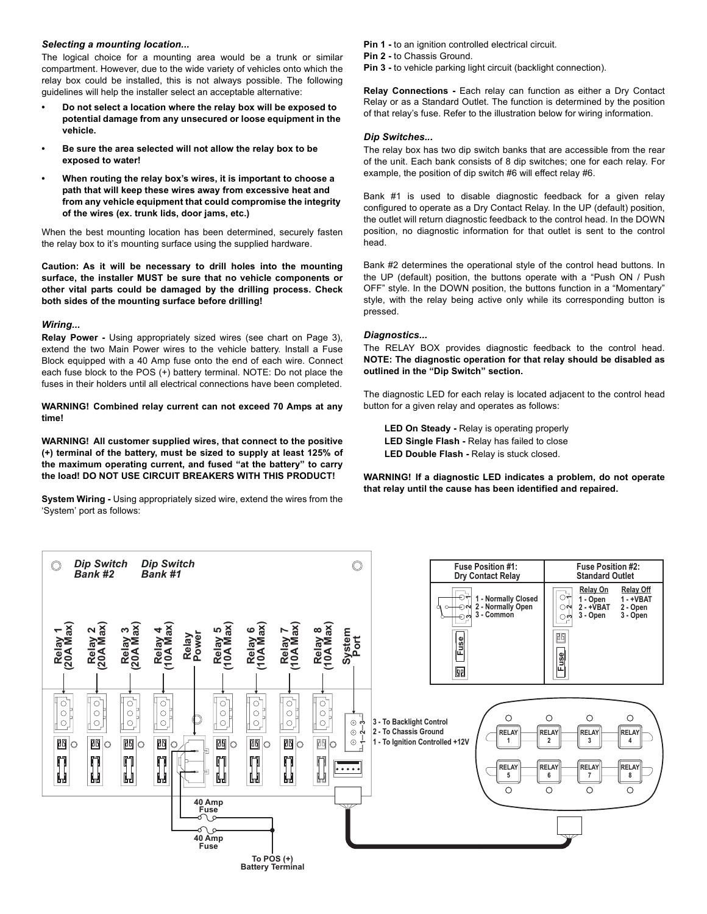### *Selecting a mounting location...*

The logical choice for a mounting area would be a trunk or similar compartment. However, due to the wide variety of vehicles onto which the relay box could be installed, this is not always possible. The following guidelines will help the installer select an acceptable alternative:

- **Do not select a location where the relay box will be exposed to potential damage from any unsecured or loose equipment in the vehicle.**
- **Be sure the area selected will not allow the relay box to be exposed to water!**
- **When routing the relay box's wires, it is important to choose a path that will keep these wires away from excessive heat and from any vehicle equipment that could compromise the integrity of the wires (ex. trunk lids, door jams, etc.)**

When the best mounting location has been determined, securely fasten the relay box to it's mounting surface using the supplied hardware.

**Caution: As it will be necessary to drill holes into the mounting surface, the installer MUST be sure that no vehicle components or other vital parts could be damaged by the drilling process. Check both sides of the mounting surface before drilling!**

#### *Wiring...*

**Relay Power -** Using appropriately sized wires (see chart on Page 3), extend the two Main Power wires to the vehicle battery. Install a Fuse Block equipped with a 40 Amp fuse onto the end of each wire. Connect each fuse block to the POS (+) battery terminal. NOTE: Do not place the fuses in their holders until all electrical connections have been completed.

**WARNING! Combined relay current can not exceed 70 Amps at any time!**

**WARNING! All customer supplied wires, that connect to the positive (+) terminal of the battery, must be sized to supply at least 125% of the maximum operating current, and fused "at the battery" to carry the load! DO NOT USE CIRCUIT BREAKERS WITH THIS PRODUCT!**

**System Wiring -** Using appropriately sized wire, extend the wires from the 'System' port as follows:

**Pin 1 -** to an ignition controlled electrical circuit.

**Pin 2 -** to Chassis Ground.

**Pin 3 -** to vehicle parking light circuit (backlight connection).

**Relay Connections -** Each relay can function as either a Dry Contact Relay or as a Standard Outlet. The function is determined by the position of that relay's fuse. Refer to the illustration below for wiring information.

#### *Dip Switches...*

The relay box has two dip switch banks that are accessible from the rear of the unit. Each bank consists of 8 dip switches; one for each relay. For example, the position of dip switch #6 will effect relay #6.

Bank #1 is used to disable diagnostic feedback for a given relay configured to operate as a Dry Contact Relay. In the UP (default) position, the outlet will return diagnostic feedback to the control head. In the DOWN position, no diagnostic information for that outlet is sent to the control head.

Bank #2 determines the operational style of the control head buttons. In the UP (default) position, the buttons operate with a "Push ON / Push OFF" style. In the DOWN position, the buttons function in a "Momentary" style, with the relay being active only while its corresponding button is pressed.

#### *Diagnostics...*

The RELAY BOX provides diagnostic feedback to the control head. **NOTE: The diagnostic operation for that relay should be disabled as outlined in the "Dip Switch" section.**

The diagnostic LED for each relay is located adjacent to the control head button for a given relay and operates as follows:

**LED On Steady -** Relay is operating properly **LED Single Flash -** Relay has failed to close **LED Double Flash -** Relay is stuck closed.

**WARNING! If a diagnostic LED indicates a problem, do not operate that relay until the cause has been identified and repaired.**